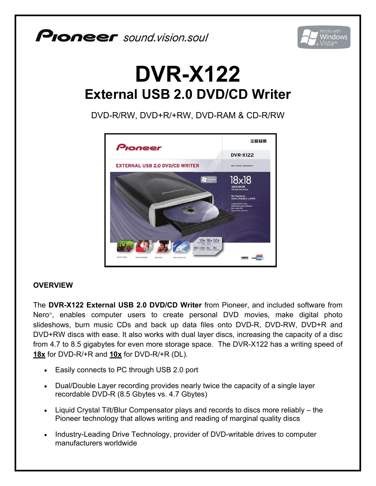## **PIONEEF** sound.vision.soul



## **DVR-X122 External USB 2.0 DVD/CD Writer**

DVD-R/RW, DVD+R/+RW, DVD-RAM & CD-R/RW



## **OVERVIEW**

The **DVR-X122 External USB 2.0 DVD/CD Writer** from Pioneer, and included software from Nero®, enables computer users to create personal DVD movies, make digital photo slideshows, burn music CDs and back up data files onto DVD-R, DVD-RW, DVD+R and DVD+RW discs with ease. It also works with dual layer discs, increasing the capacity of a disc from 4.7 to 8.5 gigabytes for even more storage space. The DVR-X122 has a writing speed of **18x** for DVD-R/+R and **10x** for DVD-R/+R (DL).

- Easily connects to PC through USB 2.0 port
- Dual/Double Layer recording provides nearly twice the capacity of a single layer recordable DVD-R (8.5 Gbytes vs. 4.7 Gbytes)
- Liquid Crystal Tilt/Blur Compensator plays and records to discs more reliably the Pioneer technology that allows writing and reading of marginal quality discs
- Industry-Leading Drive Technology, provider of DVD-writable drives to computer manufacturers worldwide